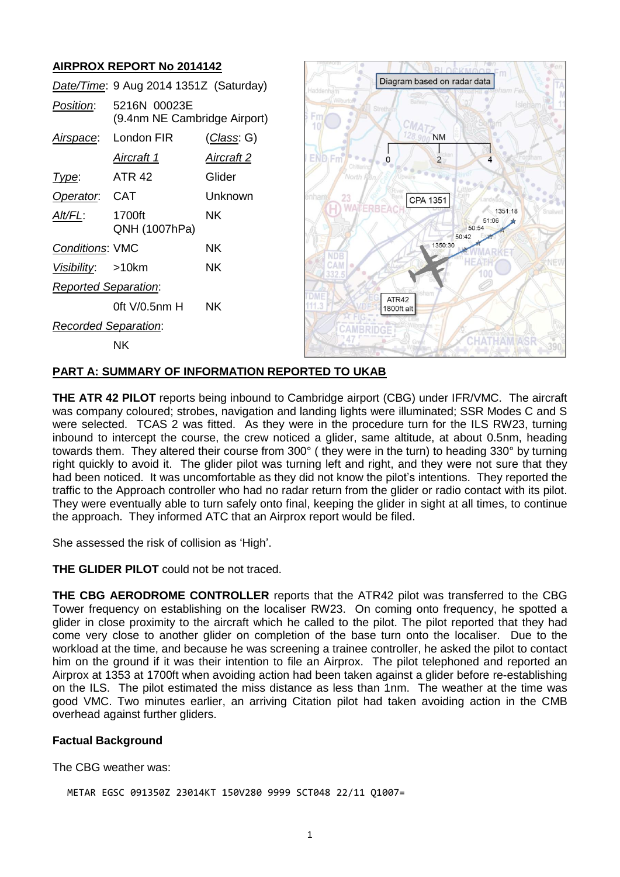# **AIRPROX REPORT No 2014142**

|                             | Date/Time: 9 Aug 2014 1351Z (Saturday)       |                    |
|-----------------------------|----------------------------------------------|--------------------|
| Position:                   | 5216N 00023E<br>(9.4nm NE Cambridge Airport) |                    |
|                             | Airspace: London FIR                         | <u>(Class</u> : G) |
|                             | <u>Aircraft 1</u>                            | <u>Aircraft 2</u>  |
| l ype:                      | <b>ATR 42</b>                                | Glider             |
| Operator. CAT               |                                              | Unknown            |
| <u>Alt/FL:</u>              | 1700ft<br>QNH (1007hPa)                      | NK.                |
| <b>Conditions: VMC</b>      |                                              | NΚ                 |
| Visibility: >10km           |                                              | ΝK                 |
| <b>Reported Separation:</b> |                                              |                    |
|                             | 0ft V/0.5nm H                                | ΝK                 |
| Recorded Separation:        |                                              |                    |
|                             | NΚ                                           |                    |



## **PART A: SUMMARY OF INFORMATION REPORTED TO UKAB**

**THE ATR 42 PILOT** reports being inbound to Cambridge airport (CBG) under IFR/VMC. The aircraft was company coloured; strobes, navigation and landing lights were illuminated; SSR Modes C and S were selected. TCAS 2 was fitted. As they were in the procedure turn for the ILS RW23, turning inbound to intercept the course, the crew noticed a glider, same altitude, at about 0.5nm, heading towards them. They altered their course from 300° ( they were in the turn) to heading 330° by turning right quickly to avoid it. The glider pilot was turning left and right, and they were not sure that they had been noticed. It was uncomfortable as they did not know the pilot's intentions. They reported the traffic to the Approach controller who had no radar return from the glider or radio contact with its pilot. They were eventually able to turn safely onto final, keeping the glider in sight at all times, to continue the approach. They informed ATC that an Airprox report would be filed.

She assessed the risk of collision as 'High'.

**THE GLIDER PILOT** could not be not traced.

**THE CBG AERODROME CONTROLLER** reports that the ATR42 pilot was transferred to the CBG Tower frequency on establishing on the localiser RW23. On coming onto frequency, he spotted a glider in close proximity to the aircraft which he called to the pilot. The pilot reported that they had come very close to another glider on completion of the base turn onto the localiser. Due to the workload at the time, and because he was screening a trainee controller, he asked the pilot to contact him on the ground if it was their intention to file an Airprox. The pilot telephoned and reported an Airprox at 1353 at 1700ft when avoiding action had been taken against a glider before re-establishing on the ILS. The pilot estimated the miss distance as less than 1nm. The weather at the time was good VMC. Two minutes earlier, an arriving Citation pilot had taken avoiding action in the CMB overhead against further gliders.

#### **Factual Background**

The CBG weather was:

METAR EGSC 091350Z 23014KT 150V280 9999 SCT048 22/11 Q1007=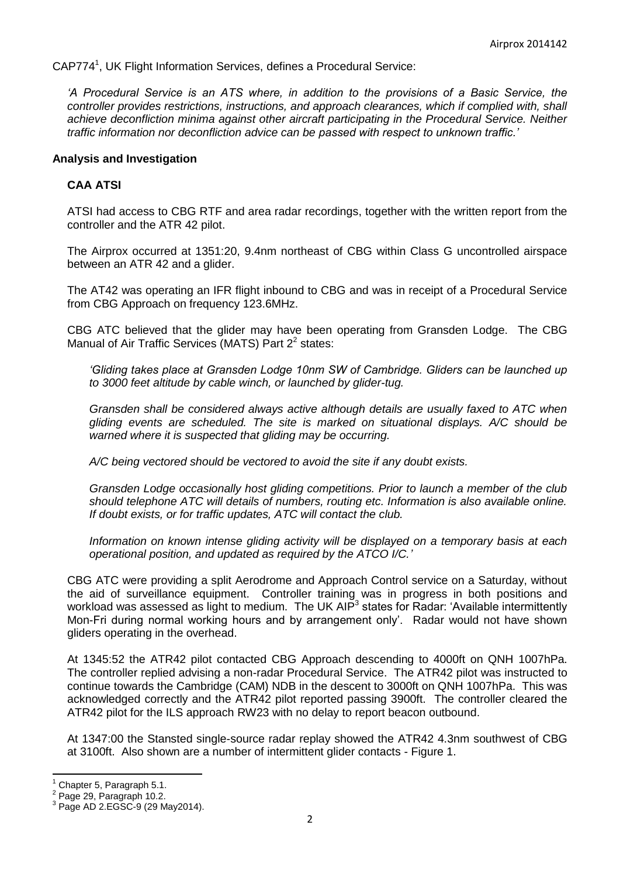CAP774<sup>1</sup>, UK Flight Information Services, defines a Procedural Service:

*'A Procedural Service is an ATS where, in addition to the provisions of a Basic Service, the controller provides restrictions, instructions, and approach clearances, which if complied with, shall achieve deconfliction minima against other aircraft participating in the Procedural Service. Neither traffic information nor deconfliction advice can be passed with respect to unknown traffic.'* 

#### **Analysis and Investigation**

#### **CAA ATSI**

ATSI had access to CBG RTF and area radar recordings, together with the written report from the controller and the ATR 42 pilot.

The Airprox occurred at 1351:20, 9.4nm northeast of CBG within Class G uncontrolled airspace between an ATR 42 and a glider.

The AT42 was operating an IFR flight inbound to CBG and was in receipt of a Procedural Service from CBG Approach on frequency 123.6MHz.

CBG ATC believed that the glider may have been operating from Gransden Lodge. The CBG Manual of Air Traffic Services (MATS) Part  $2^2$  states:

*'Gliding takes place at Gransden Lodge 10nm SW of Cambridge. Gliders can be launched up to 3000 feet altitude by cable winch, or launched by glider-tug.*

*Gransden shall be considered always active although details are usually faxed to ATC when gliding events are scheduled. The site is marked on situational displays. A/C should be warned where it is suspected that gliding may be occurring.*

*A/C being vectored should be vectored to avoid the site if any doubt exists.* 

*Gransden Lodge occasionally host gliding competitions. Prior to launch a member of the club should telephone ATC will details of numbers, routing etc. Information is also available online. If doubt exists, or for traffic updates, ATC will contact the club.*

*Information on known intense gliding activity will be displayed on a temporary basis at each operational position, and updated as required by the ATCO I/C.'*

CBG ATC were providing a split Aerodrome and Approach Control service on a Saturday, without the aid of surveillance equipment. Controller training was in progress in both positions and workload was assessed as light to medium. The UK AIP<sup>3</sup> states for Radar: 'Available intermittently Mon-Fri during normal working hours and by arrangement only'. Radar would not have shown gliders operating in the overhead.

At 1345:52 the ATR42 pilot contacted CBG Approach descending to 4000ft on QNH 1007hPa. The controller replied advising a non-radar Procedural Service. The ATR42 pilot was instructed to continue towards the Cambridge (CAM) NDB in the descent to 3000ft on QNH 1007hPa. This was acknowledged correctly and the ATR42 pilot reported passing 3900ft. The controller cleared the ATR42 pilot for the ILS approach RW23 with no delay to report beacon outbound.

At 1347:00 the Stansted single-source radar replay showed the ATR42 4.3nm southwest of CBG at 3100ft. Also shown are a number of intermittent glider contacts - Figure 1.

 $\overline{a}$ 

Chapter 5, Paragraph 5.1.

<sup>2</sup> Page 29, Paragraph 10.2.

<sup>3</sup> Page AD 2.EGSC-9 (29 May2014).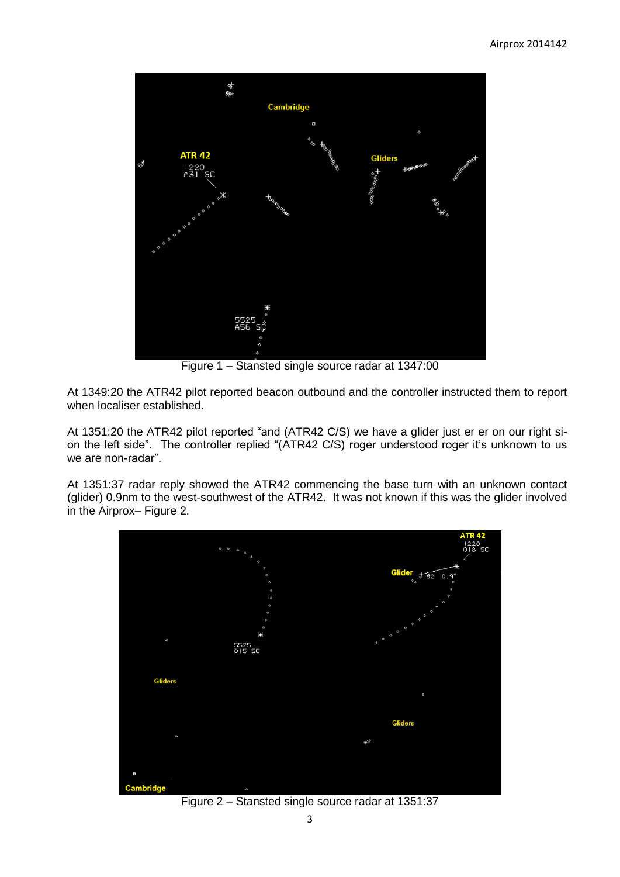

Figure 1 – Stansted single source radar at 1347:00

At 1349:20 the ATR42 pilot reported beacon outbound and the controller instructed them to report when localiser established.

At 1351:20 the ATR42 pilot reported "and (ATR42 C/S) we have a glider just er er on our right sion the left side". The controller replied "(ATR42 C/S) roger understood roger it's unknown to us we are non-radar".

At 1351:37 radar reply showed the ATR42 commencing the base turn with an unknown contact (glider) 0.9nm to the west-southwest of the ATR42. It was not known if this was the glider involved in the Airprox– Figure 2.



Figure 2 – Stansted single source radar at 1351:37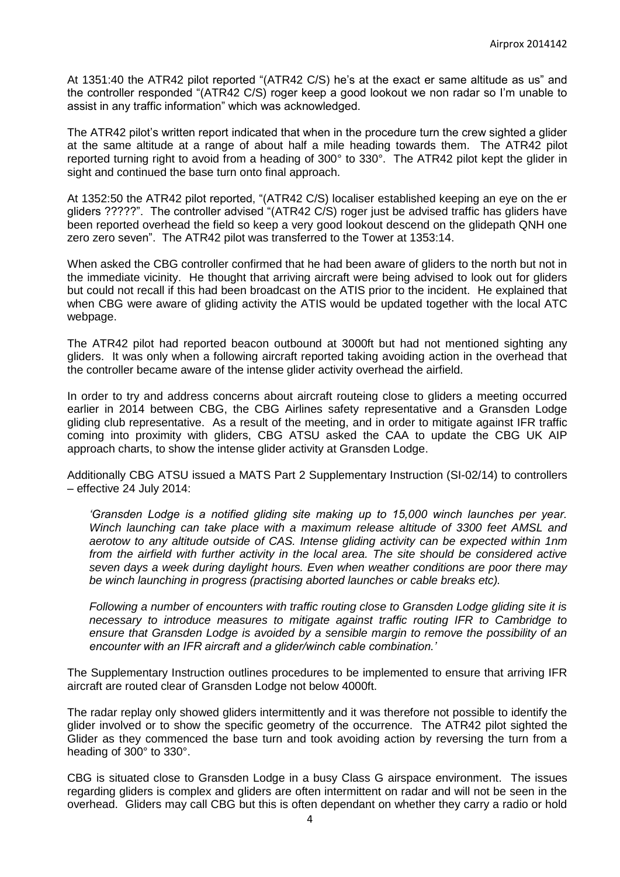At 1351:40 the ATR42 pilot reported "(ATR42 C/S) he's at the exact er same altitude as us" and the controller responded "(ATR42 C/S) roger keep a good lookout we non radar so I'm unable to assist in any traffic information" which was acknowledged.

The ATR42 pilot's written report indicated that when in the procedure turn the crew sighted a glider at the same altitude at a range of about half a mile heading towards them. The ATR42 pilot reported turning right to avoid from a heading of 300° to 330°. The ATR42 pilot kept the glider in sight and continued the base turn onto final approach.

At 1352:50 the ATR42 pilot reported, "(ATR42 C/S) localiser established keeping an eye on the er gliders ?????". The controller advised "(ATR42 C/S) roger just be advised traffic has gliders have been reported overhead the field so keep a very good lookout descend on the glidepath QNH one zero zero seven". The ATR42 pilot was transferred to the Tower at 1353:14.

When asked the CBG controller confirmed that he had been aware of gliders to the north but not in the immediate vicinity. He thought that arriving aircraft were being advised to look out for gliders but could not recall if this had been broadcast on the ATIS prior to the incident. He explained that when CBG were aware of gliding activity the ATIS would be updated together with the local ATC webpage.

The ATR42 pilot had reported beacon outbound at 3000ft but had not mentioned sighting any gliders. It was only when a following aircraft reported taking avoiding action in the overhead that the controller became aware of the intense glider activity overhead the airfield.

In order to try and address concerns about aircraft routeing close to gliders a meeting occurred earlier in 2014 between CBG, the CBG Airlines safety representative and a Gransden Lodge gliding club representative. As a result of the meeting, and in order to mitigate against IFR traffic coming into proximity with gliders, CBG ATSU asked the CAA to update the CBG UK AIP approach charts, to show the intense glider activity at Gransden Lodge.

Additionally CBG ATSU issued a MATS Part 2 Supplementary Instruction (SI-02/14) to controllers – effective 24 July 2014:

*'Gransden Lodge is a notified gliding site making up to 15,000 winch launches per year. Winch launching can take place with a maximum release altitude of 3300 feet AMSL and aerotow to any altitude outside of CAS. Intense gliding activity can be expected within 1nm from the airfield with further activity in the local area. The site should be considered active seven days a week during daylight hours. Even when weather conditions are poor there may be winch launching in progress (practising aborted launches or cable breaks etc).* 

*Following a number of encounters with traffic routing close to Gransden Lodge gliding site it is necessary to introduce measures to mitigate against traffic routing IFR to Cambridge to ensure that Gransden Lodge is avoided by a sensible margin to remove the possibility of an encounter with an IFR aircraft and a glider/winch cable combination.'*

The Supplementary Instruction outlines procedures to be implemented to ensure that arriving IFR aircraft are routed clear of Gransden Lodge not below 4000ft.

The radar replay only showed gliders intermittently and it was therefore not possible to identify the glider involved or to show the specific geometry of the occurrence. The ATR42 pilot sighted the Glider as they commenced the base turn and took avoiding action by reversing the turn from a heading of 300° to 330°.

CBG is situated close to Gransden Lodge in a busy Class G airspace environment. The issues regarding gliders is complex and gliders are often intermittent on radar and will not be seen in the overhead. Gliders may call CBG but this is often dependant on whether they carry a radio or hold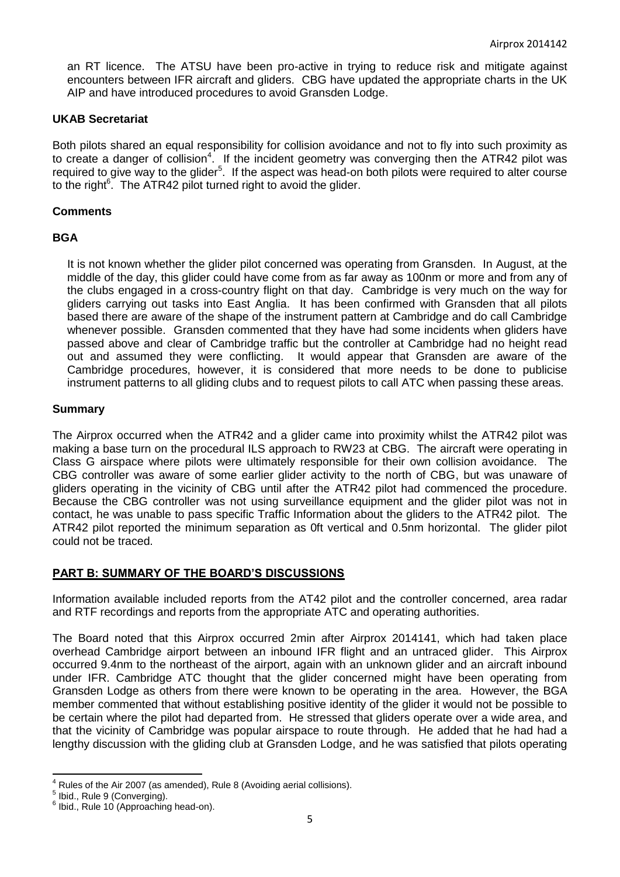an RT licence. The ATSU have been pro-active in trying to reduce risk and mitigate against encounters between IFR aircraft and gliders. CBG have updated the appropriate charts in the UK AIP and have introduced procedures to avoid Gransden Lodge.

#### **UKAB Secretariat**

Both pilots shared an equal responsibility for collision avoidance and not to fly into such proximity as to create a danger of collision<sup>4</sup>. If the incident geometry was converging then the ATR42 pilot was required to give way to the glider<sup>5</sup>. If the aspect was head-on both pilots were required to alter course to the right<sup>6</sup>. The ATR42 pilot turned right to avoid the glider.

## **Comments**

## **BGA**

It is not known whether the glider pilot concerned was operating from Gransden. In August, at the middle of the day, this glider could have come from as far away as 100nm or more and from any of the clubs engaged in a cross-country flight on that day. Cambridge is very much on the way for gliders carrying out tasks into East Anglia. It has been confirmed with Gransden that all pilots based there are aware of the shape of the instrument pattern at Cambridge and do call Cambridge whenever possible. Gransden commented that they have had some incidents when gliders have passed above and clear of Cambridge traffic but the controller at Cambridge had no height read out and assumed they were conflicting. It would appear that Gransden are aware of the Cambridge procedures, however, it is considered that more needs to be done to publicise instrument patterns to all gliding clubs and to request pilots to call ATC when passing these areas.

#### **Summary**

The Airprox occurred when the ATR42 and a glider came into proximity whilst the ATR42 pilot was making a base turn on the procedural ILS approach to RW23 at CBG. The aircraft were operating in Class G airspace where pilots were ultimately responsible for their own collision avoidance. The CBG controller was aware of some earlier glider activity to the north of CBG, but was unaware of gliders operating in the vicinity of CBG until after the ATR42 pilot had commenced the procedure. Because the CBG controller was not using surveillance equipment and the glider pilot was not in contact, he was unable to pass specific Traffic Information about the gliders to the ATR42 pilot. The ATR42 pilot reported the minimum separation as 0ft vertical and 0.5nm horizontal. The glider pilot could not be traced.

# **PART B: SUMMARY OF THE BOARD'S DISCUSSIONS**

Information available included reports from the AT42 pilot and the controller concerned, area radar and RTF recordings and reports from the appropriate ATC and operating authorities.

The Board noted that this Airprox occurred 2min after Airprox 2014141, which had taken place overhead Cambridge airport between an inbound IFR flight and an untraced glider. This Airprox occurred 9.4nm to the northeast of the airport, again with an unknown glider and an aircraft inbound under IFR. Cambridge ATC thought that the glider concerned might have been operating from Gransden Lodge as others from there were known to be operating in the area. However, the BGA member commented that without establishing positive identity of the glider it would not be possible to be certain where the pilot had departed from. He stressed that gliders operate over a wide area, and that the vicinity of Cambridge was popular airspace to route through. He added that he had had a lengthy discussion with the gliding club at Gransden Lodge, and he was satisfied that pilots operating

 $\overline{a}$  $^4$  Rules of the Air 2007 (as amended), Rule 8 (Avoiding aerial collisions).

<sup>&</sup>lt;sup>5</sup> Ibid., Rule 9 (Converging).

<sup>&</sup>lt;sup>6</sup> Ibid., Rule 10 (Approaching head-on).